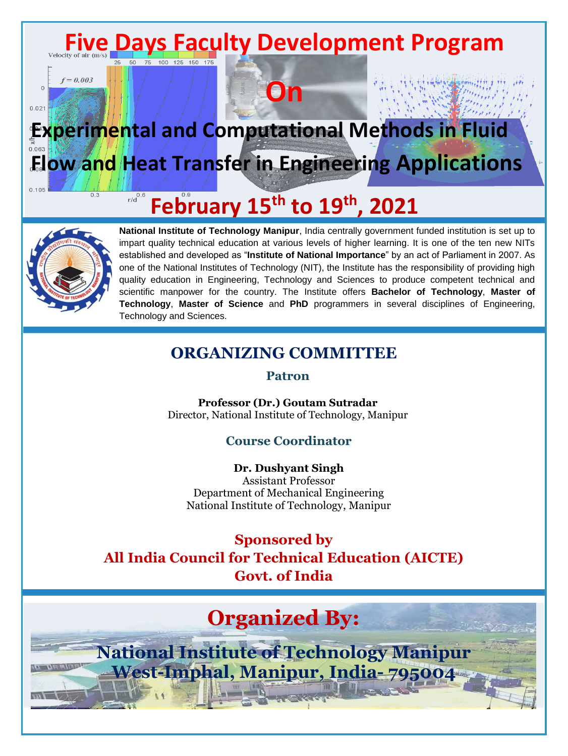

**On**

# **Experimental and Computational Methods in Fluid Flow and Heat Transfer in Engineering Applications**

#### $r/d$ <sup>0.6</sup> **February 15th to 19th , 2021**



 $0.3$ 

 $\overline{0}$ 

 $0.02$ 

**National Institute of Technology Manipur**, India centrally government funded institution is set up to impart quality technical education at various levels of higher learning. It is one of the ten new NITs established and developed as "**Institute of National Importance**" by an act of Parliament in 2007. As one of the National Institutes of Technology (NIT), the Institute has the responsibility of providing high quality education in Engineering, Technology and Sciences to produce competent technical and scientific manpower for the country. The Institute offers **Bachelor of Technology**, **Master of Technology**, **Master of Science** and **PhD** programmers in several disciplines of Engineering, Technology and Sciences.

#### **ORGANIZING COMMITTEE**

**Patron**

**Professor (Dr.) Goutam Sutradar** Director, National Institute of Technology, Manipur

#### **Course Coordinator**

**Dr. Dushyant Singh** Assistant Professor Department of Mechanical Engineering National Institute of Technology, Manipur

**Sponsored by All India Council for Technical Education (AICTE) Govt. of India**

# **Organized By:**

**National Institute of Technology Manipur West-Imphal, Manipur, India- 795004**